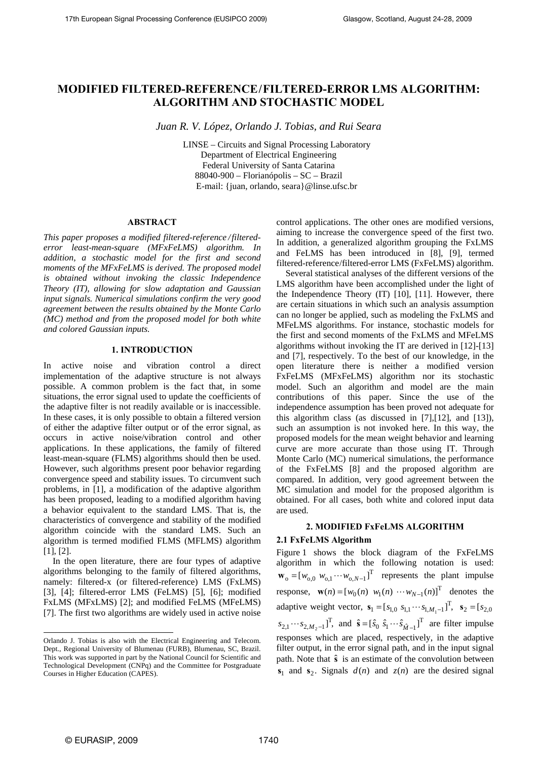# **MODIFIED FILTERED-REFERENCE/FILTERED-ERROR LMS ALGORITHM: ALGORITHM AND STOCHASTIC MODEL**

*Juan R. V. López, Orlando J. Tobias, and Rui Seara* 

LINSE – Circuits and Signal Processing Laboratory Department of Electrical Engineering Federal University of Santa Catarina 88040-900 – Florianópolis – SC – Brazil E-mail: {juan, orlando, seara}@linse.ufsc.br

## **ABSTRACT**

*This paper proposes a modified filtered-reference /filterederror least-mean-square (MFxFeLMS) algorithm. In addition, a stochastic model for the first and second moments of the MFxFeLMS is derived. The proposed model is obtained without invoking the classic Independence Theory (IT), allowing for slow adaptation and Gaussian input signals. Numerical simulations confirm the very good agreement between the results obtained by the Monte Carlo (MC) method and from the proposed model for both white and colored Gaussian inputs.* 

## **1. INTRODUCTION**

In active noise and vibration control a direct implementation of the adaptive structure is not always possible. A common problem is the fact that, in some situations, the error signal used to update the coefficients of the adaptive filter is not readily available or is inaccessible. In these cases, it is only possible to obtain a filtered version of either the adaptive filter output or of the error signal, as occurs in active noise/vibration control and other applications. In these applications, the family of filtered least-mean-square (FLMS) algorithms should then be used. However, such algorithms present poor behavior regarding convergence speed and stability issues. To circumvent such problems, in [1], a modification of the adaptive algorithm has been proposed, leading to a modified algorithm having a behavior equivalent to the standard LMS. That is, the characteristics of convergence and stability of the modified algorithm coincide with the standard LMS. Such an algorithm is termed modified FLMS (MFLMS) algorithm [1], [2].

In the open literature, there are four types of adaptive algorithms belonging to the family of filtered algorithms, namely: filtered-x (or filtered-reference) LMS (FxLMS) [3], [4]; filtered-error LMS (FeLMS) [5], [6]; modified FxLMS (MFxLMS) [2]; and modified FeLMS (MFeLMS) [7]. The first two algorithms are widely used in active noise

control applications. The other ones are modified versions, aiming to increase the convergence speed of the first two. In addition, a generalized algorithm grouping the FxLMS and FeLMS has been introduced in [8], [9], termed filtered-reference/filtered-error LMS (FxFeLMS) algorithm.

Several statistical analyses of the different versions of the LMS algorithm have been accomplished under the light of the Independence Theory (IT) [10], [11]. However, there are certain situations in which such an analysis assumption can no longer be applied, such as modeling the FxLMS and MFeLMS algorithms. For instance, stochastic models for the first and second moments of the FxLMS and MFeLMS algorithms without invoking the IT are derived in [12]-[13] and [7], respectively. To the best of our knowledge, in the open literature there is neither a modified version FxFeLMS (MFxFeLMS) algorithm nor its stochastic model. Such an algorithm and model are the main contributions of this paper. Since the use of the independence assumption has been proved not adequate for this algorithm class (as discussed in [7],[12], and [13]), such an assumption is not invoked here. In this way, the proposed models for the mean weight behavior and learning curve are more accurate than those using IT. Through Monte Carlo (MC) numerical simulations, the performance of the FxFeLMS [8] and the proposed algorithm are compared. In addition, very good agreement between the MC simulation and model for the proposed algorithm is obtained. For all cases, both white and colored input data are used.

# **2. MODIFIED FxFeLMS ALGORITHM**

# **2.1 FxFeLMS Algorithm**

Figure 1 shows the block diagram of the FxFeLMS algorithm in which the following notation is used:  $\mathbf{w}_{o} = [w_{o,0} \; w_{o,1} \cdots w_{o,N-1}]^{T}$  represents the plant impulse response,  $\mathbf{w}(n) = [w_0(n) \ w_1(n) \cdots w_{N-1}(n)]^T$  denotes the adaptive weight vector,  $\mathbf{s}_1 = [s_{1,0} \ s_{1,1} \cdots s_{1,M_1-1}]^T$ ,  $\mathbf{s}_2 = [s_{2,0} \ s_{2,0}]^T$ 2  $[s_{2,1} \cdots s_{2,M_2-1}]^T$ , and  $\hat{\mathbf{s}} = [\hat{s}_0 \ \hat{s}_1 \cdots \hat{s}_{\hat{M}-1}]^T$  are filter impulse responses which are placed, respectively, in the adaptive filter output, in the error signal path, and in the input signal path. Note that  $\hat{\mathbf{s}}$  is an estimate of the convolution between  $s_1$  and  $s_2$ . Signals  $d(n)$  and  $z(n)$  are the desired signal

l

Orlando J. Tobias is also with the Electrical Engineering and Telecom. Dept., Regional University of Blumenau (FURB), Blumenau, SC, Brazil. This work was supported in part by the National Council for Scientific and Technological Development (CNPq) and the Committee for Postgraduate Courses in Higher Education (CAPES).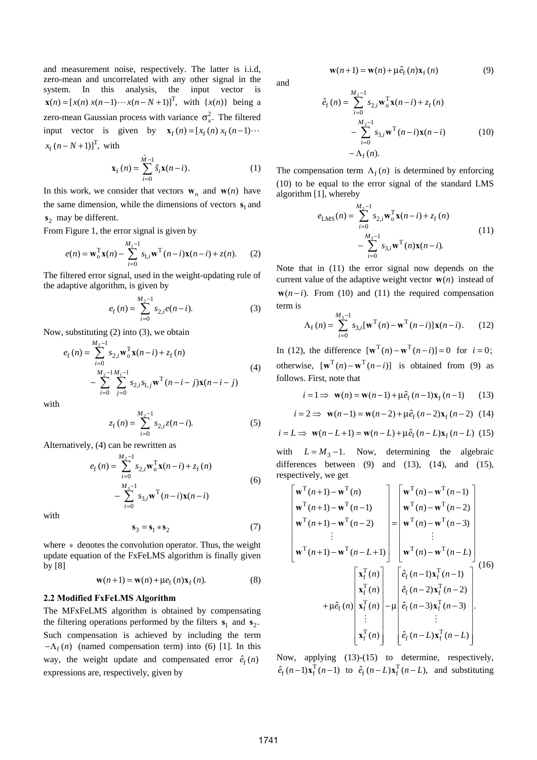and measurement noise, respectively. The latter is i.i.d, zero-mean and uncorrelated with any other signal in the system. In this analysis, the input vector is  $\mathbf{x}(n) = [x(n) x(n-1) \cdots x(n-N+1)]^T$ , with  $\{x(n)\}$  being a zero-mean Gaussian process with variance  $\sigma_x^2$ . The filtered input vector is given by  $\mathbf{x}_f(n) = [x_f(n) x_f(n-1) \cdots$  $x_f (n - N + 1)$ <sup>T</sup>, with

$$
\mathbf{x}_{\rm f}(n) = \sum_{i=0}^{\hat{M}-1} \hat{s}_i \mathbf{x}(n-i). \tag{1}
$$

In this work, we consider that vectors  $\mathbf{w}_0$  and  $\mathbf{w}(n)$  have the same dimension, while the dimensions of vectors  $s_1$  and **s**<sub>2</sub> may be different.

From Figure 1, the error signal is given by

$$
e(n) = \mathbf{w}_o^{\mathrm{T}} \mathbf{x}(n) - \sum_{i=0}^{M_1 - 1} s_{i,i} \mathbf{w}^{\mathrm{T}}(n - i) \mathbf{x}(n - i) + z(n).
$$
 (2)

The filtered error signal, used in the weight-updating rule of the adaptive algorithm, is given by

$$
e_{\rm f}(n) = \sum_{i=0}^{M_2 - 1} s_{2,i} e(n - i).
$$
 (3)

Now, substituting (2) into (3), we obtain

$$
e_{\mathbf{f}}(n) = \sum_{i=0}^{M_2 - 1} s_{2,i} \mathbf{w}_{\mathbf{o}}^{\mathbf{T}} \mathbf{x}(n - i) + z_{\mathbf{f}}(n)
$$
  
- 
$$
\sum_{i=0}^{M_2 - 1} \sum_{j=0}^{M_1 - 1} s_{2,i} s_{1,j} \mathbf{w}^{\mathbf{T}}(n - i - j) \mathbf{x}(n - i - j)
$$
 (4)

with

$$
z_{\rm f}(n) = \sum_{i=0}^{M_2 - 1} s_{2,i} z(n - i). \tag{5}
$$

Alternatively, (4) can be rewritten as

$$
e_{\rm f}(n) = \sum_{i=0}^{M_2 - 1} s_{2,i} \mathbf{w}_{\rm o}^{\rm T} \mathbf{x}(n - i) + z_{\rm f}(n)
$$
  
- 
$$
\sum_{i=0}^{M_3 - 1} s_{3,i} \mathbf{w}^{\rm T}(n - i) \mathbf{x}(n - i)
$$
 (6)

with

$$
\mathbf{s}_3 = \mathbf{s}_1 * \mathbf{s}_2 \tag{7}
$$

where ∗ denotes the convolution operator. Thus, the weight update equation of the FxFeLMS algorithm is finally given by [8]

$$
\mathbf{w}(n+1) = \mathbf{w}(n) + \mu e_{\mathbf{f}}(n)\mathbf{x}_{\mathbf{f}}(n). \tag{8}
$$

#### **2.2 Modified FxFeLMS Algorithm**

The MFxFeLMS algorithm is obtained by compensating the filtering operations performed by the filters  $s_1$  and  $s_2$ . Such compensation is achieved by including the term  $-\Lambda_f(n)$  (named compensation term) into (6) [1]. In this way, the weight update and compensated error  $\hat{e}_{\rm f}(n)$ expressions are, respectively, given by

and

$$
\hat{e}_{\rm f}(n) = \sum_{i=0}^{M_2 - 1} s_{2,i} \mathbf{w}_{0}^{\mathrm{T}} \mathbf{x}(n - i) + z_{\rm f}(n) \n- \sum_{i=0}^{M_3 - 1} s_{3,i} \mathbf{w}^{\mathrm{T}}(n - i) \mathbf{x}(n - i)
$$
\n(10)\n  
\n-  $\Lambda_{\rm f}(n)$ .

 $w(n+1) = w(n) + \mu \hat{e}_f(n) x_f(n)$  (9)

The compensation term  $\Lambda_f(n)$  is determined by enforcing (10) to be equal to the error signal of the standard LMS algorithm [1], whereby

$$
e_{\text{LMS}}(n) = \sum_{i=0}^{M_2 - 1} s_{2,i} \mathbf{w}_o^{\text{T}} \mathbf{x}(n - i) + z_f(n)
$$
  
- 
$$
\sum_{i=0}^{M_3 - 1} s_{3,i} \mathbf{w}^{\text{T}}(n) \mathbf{x}(n - i).
$$
 (11)

Note that in (11) the error signal now depends on the current value of the adaptive weight vector  $w(n)$  instead of  $w(n-i)$ . From (10) and (11) the required compensation term is

$$
\Lambda_{\rm f}(n) = \sum_{i=0}^{M_{\rm s}-1} s_{3,i} [\mathbf{w}^{\rm T}(n) - \mathbf{w}^{\rm T}(n-i)] \mathbf{x}(n-i). \qquad (12)
$$

In (12), the difference  $[\mathbf{w}^T(n) - \mathbf{w}^T(n-i)] = 0$  for  $i = 0$ ; otherwise,  $[\mathbf{w}^T(n) - \mathbf{w}^T(n-i)]$  is obtained from (9) as follows. First, note that

$$
i = 1 \implies \mathbf{w}(n) = \mathbf{w}(n-1) + \mu \hat{e}_f(n-1)\mathbf{x}_f(n-1)
$$
 (13)

$$
i = 2 \implies
$$
  $\mathbf{w}(n-1) = \mathbf{w}(n-2) + \mu \hat{e}_f(n-2)\mathbf{x}_f(n-2)$  (14)

$$
i = L \Rightarrow \mathbf{w}(n - L + 1) = \mathbf{w}(n - L) + \mu \hat{e}_f(n - L)\mathbf{x}_f(n - L)
$$
 (15)

with  $L = M_3 - 1$ . Now, determining the algebraic differences between  $(9)$  and  $(13)$ ,  $(14)$ , and  $(15)$ , respectively, we get

$$
\begin{bmatrix}\n\mathbf{w}^{\mathrm{T}}(n+1) - \mathbf{w}^{\mathrm{T}}(n) \\
\mathbf{w}^{\mathrm{T}}(n+1) - \mathbf{w}^{\mathrm{T}}(n-1) \\
\mathbf{w}^{\mathrm{T}}(n+1) - \mathbf{w}^{\mathrm{T}}(n-2) \\
\vdots \\
\mathbf{w}^{\mathrm{T}}(n+1) - \mathbf{w}^{\mathrm{T}}(n-2)\n\end{bmatrix} = \begin{bmatrix}\n\mathbf{w}^{\mathrm{T}}(n) - \mathbf{w}^{\mathrm{T}}(n-1) \\
\mathbf{w}^{\mathrm{T}}(n) - \mathbf{w}^{\mathrm{T}}(n-2) \\
\vdots \\
\mathbf{w}^{\mathrm{T}}(n) - \mathbf{w}^{\mathrm{T}}(n-3) \\
\vdots \\
\mathbf{w}^{\mathrm{T}}(n) - \mathbf{w}^{\mathrm{T}}(n-1)\n\end{bmatrix}
$$
\n(16)  
\n
$$
+ \mu \hat{e}_{\mathrm{f}}(n) \begin{bmatrix}\n\mathbf{x}_{\mathrm{f}}^{\mathrm{T}}(n) \\
\mathbf{x}_{\mathrm{f}}^{\mathrm{T}}(n) \\
\mathbf{x}_{\mathrm{f}}^{\mathrm{T}}(n) \\
\vdots \\
\mathbf{x}_{\mathrm{f}}^{\mathrm{T}}(n)\n\end{bmatrix} - \mu \begin{bmatrix}\n\hat{e}_{\mathrm{f}}(n-1)\mathbf{x}_{\mathrm{f}}^{\mathrm{T}}(n-1) \\
\hat{e}_{\mathrm{f}}(n-2)\mathbf{x}_{\mathrm{f}}^{\mathrm{T}}(n-2) \\
\hat{e}_{\mathrm{f}}(n-3)\mathbf{x}_{\mathrm{f}}^{\mathrm{T}}(n-3) \\
\vdots \\
\hat{e}_{\mathrm{f}}(n-L)\mathbf{x}_{\mathrm{f}}^{\mathrm{T}}(n-L)\n\end{bmatrix}.
$$

Now, applying (13)-(15) to determine, respectively,  $\hat{e}_{\rm f}(n-1)\mathbf{x}_{\rm f}^{\rm T}(n-1)$  to  $\hat{e}_{\rm f}(n-L)\mathbf{x}_{\rm f}^{\rm T}(n-L)$ , and substituting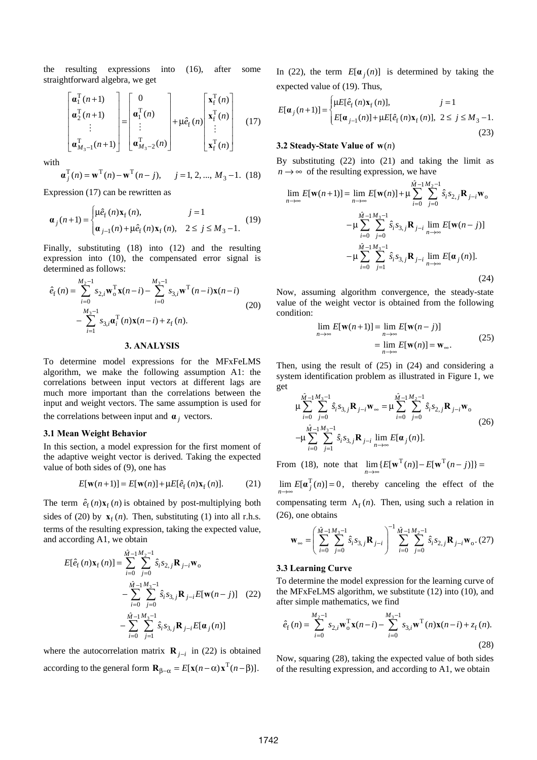the resulting expressions into (16), after some straightforward algebra, we get

$$
\begin{bmatrix} \mathbf{a}_1^{\mathrm{T}}(n+1) \\ \mathbf{a}_2^{\mathrm{T}}(n+1) \\ \vdots \\ \mathbf{a}_{M_3-1}^{\mathrm{T}}(n+1) \end{bmatrix} = \begin{bmatrix} 0 \\ \mathbf{a}_1^{\mathrm{T}}(n) \\ \vdots \\ \mathbf{a}_{M_3-2}^{\mathrm{T}}(n) \end{bmatrix} + \mu \hat{e}_f(n) \begin{bmatrix} \mathbf{x}_f^{\mathrm{T}}(n) \\ \mathbf{x}_f^{\mathrm{T}}(n) \\ \vdots \\ \mathbf{x}_f^{\mathrm{T}}(n) \end{bmatrix}
$$
(17)

with

$$
\mathbf{a}_j^{\mathrm{T}}(n) = \mathbf{w}^{\mathrm{T}}(n) - \mathbf{w}^{\mathrm{T}}(n-j), \quad j = 1, 2, ..., M_3 - 1.
$$
 (18)

Expression (17) can be rewritten as

$$
\mathbf{a}_{j}(n+1) = \begin{cases} \mu \hat{e}_{f}(n) \mathbf{x}_{f}(n), & j = 1 \\ \mathbf{a}_{j-1}(n) + \mu \hat{e}_{f}(n) \mathbf{x}_{f}(n), & 2 \leq j \leq M_{3} - 1. \end{cases}
$$
(19)

Finally, substituting (18) into (12) and the resulting expression into (10), the compensated error signal is determined as follows:

$$
\hat{e}_{\mathbf{f}}(n) = \sum_{i=0}^{M_2 - 1} s_{2,i} \mathbf{w}_{0}^{\mathrm{T}} \mathbf{x}(n - i) - \sum_{i=0}^{M_3 - 1} s_{3,i} \mathbf{w}^{\mathrm{T}}(n - i) \mathbf{x}(n - i)
$$
\n
$$
- \sum_{i=1}^{M_3 - 1} s_{3,i} \mathbf{a}_{i}^{\mathrm{T}}(n) \mathbf{x}(n - i) + z_{\mathbf{f}}(n).
$$
\n(20)

#### **3. ANALYSIS**

To determine model expressions for the MFxFeLMS algorithm, we make the following assumption A1: the correlations between input vectors at different lags are much more important than the correlations between the input and weight vectors. The same assumption is used for the correlations between input and  $\alpha_j$  vectors.

#### **3.1 Mean Weight Behavior**

In this section, a model expression for the first moment of the adaptive weight vector is derived. Taking the expected value of both sides of (9), one has

$$
E[\mathbf{w}(n+1)] = E[\mathbf{w}(n)] + \mu E[\hat{e}_f(n)\mathbf{x}_f(n)].
$$
 (21)

The term  $\hat{e}_f(n)x_f(n)$  is obtained by post-multiplying both sides of (20) by  $\mathbf{x}_f(n)$ . Then, substituting (1) into all r.h.s. terms of the resulting expression, taking the expected value, and according A1, we obtain

$$
E[\hat{e}_{\mathbf{f}}(n)\mathbf{x}_{\mathbf{f}}(n)] = \sum_{i=0}^{\hat{M}-1} \sum_{j=0}^{M_2-1} \hat{s}_i s_{2,j} \mathbf{R}_{j-i} \mathbf{w}_0
$$
  

$$
- \sum_{i=0}^{\hat{M}-1} \sum_{j=0}^{M_3-1} \hat{s}_i s_{3,j} \mathbf{R}_{j-i} E[\mathbf{w}(n-j)] \quad (22)
$$
  

$$
- \sum_{i=0}^{\hat{M}-1} \sum_{j=1}^{M_3-1} \hat{s}_i s_{3,j} \mathbf{R}_{j-i} E[\mathbf{\alpha}_j(n)]
$$

where the autocorrelation matrix **R**  $_{i-i}$  in (22) is obtained according to the general form  $\mathbf{R}_{\beta-\alpha} = E[\mathbf{x}(n-\alpha)\mathbf{x}^{\text{T}}(n-\beta)].$ 

In (22), the term  $E[\alpha_i(n)]$  is determined by taking the expected value of (19). Thus,

$$
E[\mathbf{a}_{j}(n+1)] = \begin{cases} \mu E[\hat{e}_{f}(n)\mathbf{x}_{f}(n)], & j = 1\\ E[\mathbf{a}_{j-1}(n)] + \mu E[\hat{e}_{f}(n)\mathbf{x}_{f}(n)], & 2 \leq j \leq M_{3} - 1. \end{cases}
$$
\n(23)

#### **3.2 Steady-State Value of**  $w(n)$

By substituting (22) into (21) and taking the limit as  $n \rightarrow \infty$  of the resulting expression, we have

$$
\lim_{n \to \infty} E[\mathbf{w}(n+1)] = \lim_{n \to \infty} E[\mathbf{w}(n)] + \mu \sum_{i=0}^{\hat{M}-1} \sum_{j=0}^{M_2-1} \hat{s}_i s_{2,j} \mathbf{R}_{j-i} \mathbf{w}_0
$$
  

$$
-\mu \sum_{i=0}^{\hat{M}-1} \sum_{j=0}^{M_3-1} \hat{s}_i s_{3,j} \mathbf{R}_{j-i} \lim_{n \to \infty} E[\mathbf{w}(n-j)]
$$
  

$$
-\mu \sum_{i=0}^{\hat{M}-1} \sum_{j=1}^{M_3-1} \hat{s}_i s_{3,j} \mathbf{R}_{j-i} \lim_{n \to \infty} E[\mathbf{\alpha}_j(n)].
$$
 (24)

Now, assuming algorithm convergence, the steady-state value of the weight vector is obtained from the following condition:

$$
\lim_{n \to \infty} E[\mathbf{w}(n+1)] = \lim_{n \to \infty} E[\mathbf{w}(n-j)]
$$
  
= 
$$
\lim_{n \to \infty} E[\mathbf{w}(n)] = \mathbf{w}_{\infty}.
$$
 (25)

Then, using the result of (25) in (24) and considering a system identification problem as illustrated in Figure 1, we get

$$
\mu \sum_{i=0}^{\hat{M}-1} \sum_{j=0}^{M_3-1} \hat{s}_i s_{3,j} \mathbf{R}_{j-i} \mathbf{w}_{\infty} = \mu \sum_{i=0}^{\hat{M}-1} \sum_{j=0}^{M_2-1} \hat{s}_i s_{2,j} \mathbf{R}_{j-i} \mathbf{w}_{\infty}
$$
\n
$$
-\mu \sum_{i=0}^{\hat{M}-1} \sum_{j=1}^{M_3-1} \hat{s}_i s_{3,j} \mathbf{R}_{j-i} \lim_{n \to \infty} E[\mathbf{\alpha}_j(n)].
$$
\n(26)

From (18), note that  $\lim_{n \to \infty} \{ E[\mathbf{w}^{T}(n)] - E[\mathbf{w}^{T}(n-j)] \} =$  $\lim_{n \to \infty} E[\boldsymbol{\alpha}_j^T(n)] = 0$ , thereby canceling the effect of the compensating term  $\Lambda_f(n)$ . Then, using such a relation in

$$
\mathbf{w}_{\infty} = \left(\sum_{i=0}^{\hat{M}-1}\sum_{j=0}^{M_3-1} \hat{s}_i s_{3,j} \mathbf{R}_{j-i}\right)^{-1} \sum_{i=0}^{\hat{M}-1}\sum_{j=0}^{M_2-1} \hat{s}_i s_{2,j} \mathbf{R}_{j-i} \mathbf{w}_o. (27)
$$

#### **3.3 Learning Curve**

(26), one obtains

To determine the model expression for the learning curve of the MFxFeLMS algorithm, we substitute (12) into (10), and after simple mathematics, we find

$$
\hat{e}_{\mathbf{f}}(n) = \sum_{i=0}^{M_2 - 1} s_{2,i} \mathbf{w}_o^{\mathrm{T}} \mathbf{x}(n - i) - \sum_{i=0}^{M_3 - 1} s_{3,i} \mathbf{w}^{\mathrm{T}}(n) \mathbf{x}(n - i) + z_{\mathbf{f}}(n).
$$
\n(28)

Now, squaring (28), taking the expected value of both sides of the resulting expression, and according to A1, we obtain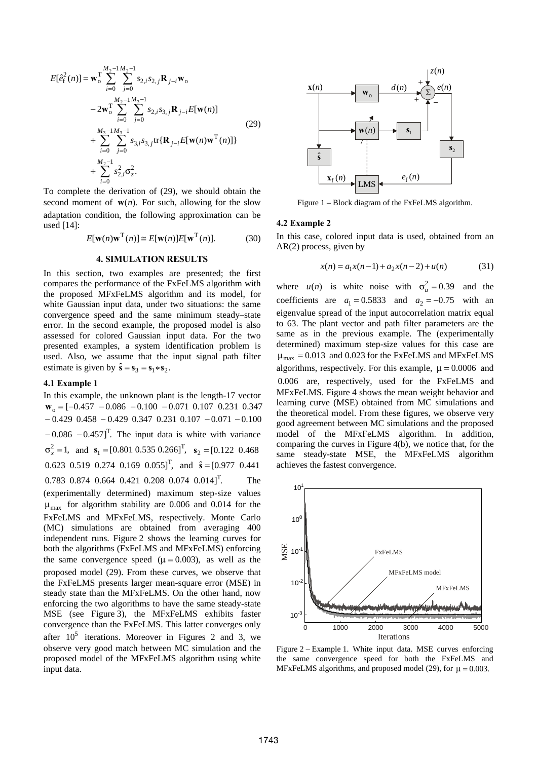$$
E[\hat{e}_{f}^{2}(n)] = \mathbf{w}_{0}^{T} \sum_{i=0}^{M_{2}-1} \sum_{j=0}^{M_{2}-1} s_{2,i} s_{2,j} \mathbf{R}_{j-i} \mathbf{w}_{0}
$$
  
\n
$$
-2\mathbf{w}_{0}^{T} \sum_{i=0}^{M_{2}-1} \sum_{j=0}^{M_{3}-1} s_{2,i} s_{3,j} \mathbf{R}_{j-i} E[\mathbf{w}(n)]
$$
  
\n
$$
+ \sum_{i=0}^{M_{3}-1} \sum_{j=0}^{M_{3}-1} s_{3,i} s_{3,j} \text{tr}\{\mathbf{R}_{j-i} E[\mathbf{w}(n)\mathbf{w}^{T}(n)]\}
$$
  
\n
$$
+ \sum_{i=0}^{M_{2}-1} s_{2,i}^{2} \sigma_{z}^{2}.
$$
 (29)

To complete the derivation of (29), we should obtain the second moment of  $w(n)$ . For such, allowing for the slow adaptation condition, the following approximation can be used [14]:

$$
E[\mathbf{w}(n)\mathbf{w}^{\mathrm{T}}(n)] \cong E[\mathbf{w}(n)]E[\mathbf{w}^{\mathrm{T}}(n)].
$$
 (30)

#### **4. SIMULATION RESULTS**

In this section, two examples are presented; the first compares the performance of the FxFeLMS algorithm with the proposed MFxFeLMS algorithm and its model, for white Gaussian input data, under two situations: the same convergence speed and the same minimum steady–state error. In the second example, the proposed model is also assessed for colored Gaussian input data. For the two presented examples, a system identification problem is used. Also, we assume that the input signal path filter estimate is given by  $\hat{\mathbf{s}} = \mathbf{s}_3 = \mathbf{s}_1 \cdot \mathbf{s}_2$ .

#### **4.1 Example 1**

In this example, the unknown plant is the length-17 vector  $\mathbf{w}_0 = [-0.457 - 0.086 - 0.100 - 0.071 \ 0.107 \ 0.231 \ 0.347]$  $-0.429$  0.458  $-0.429$  0.347 0.231 0.107  $-0.071$   $-0.100$  $-0.086 - 0.457$ ]<sup>T</sup>. The input data is white with variance  $\sigma_x^2 = 1$ , and  $\mathbf{s}_1 = [0.801 \ 0.535 \ 0.266]^\text{T}$ ,  $\mathbf{s}_2 = [0.122 \ 0.468]^\text{T}$ 0.623 0.519 0.274 0.169 0.055]<sup>T</sup>, and  $\hat{s} = [0.977 \space 0.441]$  $0.783$  0.874 0.664 0.421 0.208 0.074 0.014]<sup>T</sup>. The (experimentally determined) maximum step-size values  $\mu_{\text{max}}$  for algorithm stability are 0.006 and 0.014 for the FxFeLMS and MFxFeLMS, respectively. Monte Carlo (MC) simulations are obtained from averaging 400 independent runs. Figure 2 shows the learning curves for both the algorithms (FxFeLMS and MFxFeLMS) enforcing the same convergence speed  $(\mu = 0.003)$ , as well as the proposed model (29). From these curves, we observe that the FxFeLMS presents larger mean-square error (MSE) in steady state than the MFxFeLMS. On the other hand, now enforcing the two algorithms to have the same steady-state MSE (see Figure 3), the MFxFeLMS exhibits faster convergence than the FxFeLMS. This latter converges only after  $10^5$  iterations. Moreover in Figures 2 and 3, we observe very good match between MC simulation and the proposed model of the MFxFeLMS algorithm using white input data.



Figure 1 – Block diagram of the FxFeLMS algorithm.

#### **4.2 Example 2**

In this case, colored input data is used, obtained from an AR(2) process, given by

$$
x(n) = a_1 x(n-1) + a_2 x(n-2) + u(n)
$$
 (31)

where  $u(n)$  is white noise with  $\sigma_u^2 = 0.39$  and the coefficients are  $a_1 = 0.5833$  and  $a_2 = -0.75$  with an eigenvalue spread of the input autocorrelation matrix equal to 63. The plant vector and path filter parameters are the same as in the previous example. The (experimentally determined) maximum step-size values for this case are  $\mu_{\text{max}} = 0.013$  and 0.023 for the FxFeLMS and MFxFeLMS algorithms, respectively. For this example,  $\mu = 0.0006$  and 0.006 are, respectively, used for the FxFeLMS and MFxFeLMS. Figure 4 shows the mean weight behavior and learning curve (MSE) obtained from MC simulations and the theoretical model. From these figures, we observe very good agreement between MC simulations and the proposed model of the MFxFeLMS algorithm. In addition, comparing the curves in Figure 4(b), we notice that, for the same steady-state MSE, the MFxFeLMS algorithm achieves the fastest convergence.



Figure 2 – Example 1. White input data. MSE curves enforcing the same convergence speed for both the FxFeLMS and MFxFeLMS algorithms, and proposed model (29), for  $\mu = 0.003$ .